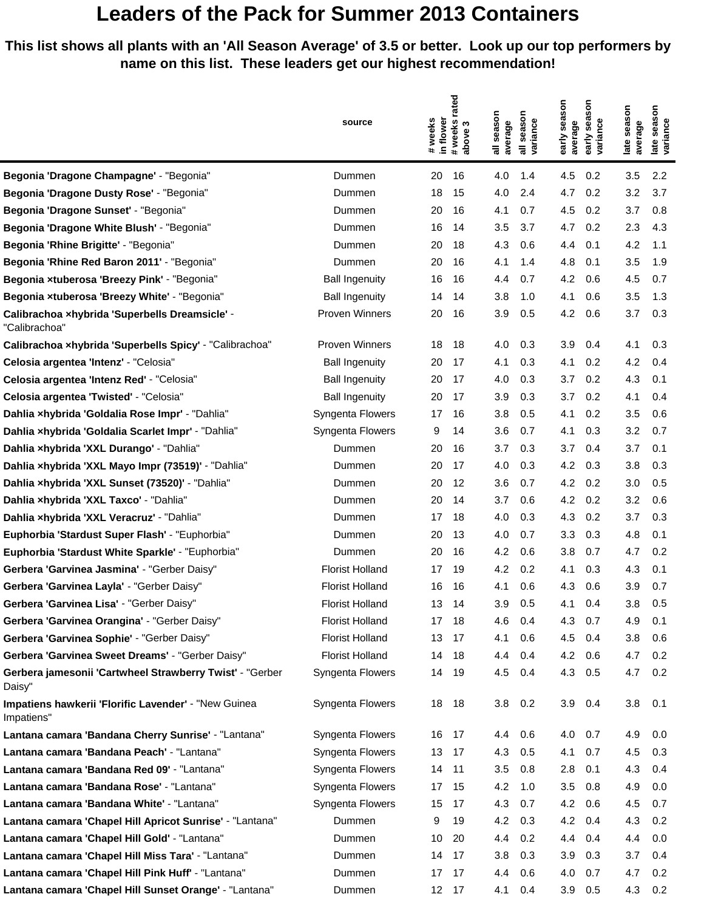## **Leaders of the Pack for Summer 2013 Containers**

**This list shows all plants with an 'All Season Average' of 3.5 or better. Look up our top performers by name on this list. These leaders get our highest recommendation!**

|                                                                    |                        | rated                                    |                     | nosi                                         |                                     |
|--------------------------------------------------------------------|------------------------|------------------------------------------|---------------------|----------------------------------------------|-------------------------------------|
|                                                                    | source                 | S                                        | season<br>season    | sea                                          | season<br>season                    |
|                                                                    |                        | in flower<br># weeks<br># weeks<br>above | variance<br>average | early season<br>variance<br>average<br>early | variance<br>average<br>late<br>late |
|                                                                    |                        |                                          | 듷<br>등              |                                              |                                     |
| Begonia 'Dragone Champagne' - "Begonia"                            | Dummen                 | 20<br>16                                 | 4.0<br>1.4          | 4.5<br>0.2                                   | 3.5<br>2.2                          |
| Begonia 'Dragone Dusty Rose' - "Begonia"                           | Dummen                 | 15<br>18                                 | 4.0<br>2.4          | 4.7<br>0.2                                   | 3.2<br>3.7                          |
| Begonia 'Dragone Sunset' - "Begonia"                               | Dummen                 | 20<br>16                                 | 4.1<br>0.7          | 4.5<br>0.2                                   | 3.7<br>0.8                          |
| Begonia 'Dragone White Blush' - "Begonia"                          | Dummen                 | 16<br>14                                 | 3.5<br>3.7          | 4.7<br>0.2                                   | 2.3<br>4.3                          |
| Begonia 'Rhine Brigitte' - "Begonia"                               | Dummen                 | 20<br>18                                 | 4.3<br>0.6          | 4.4<br>0.1                                   | 4.2<br>1.1                          |
| Begonia 'Rhine Red Baron 2011' - "Begonia"                         | Dummen                 | 20<br>16                                 | 4.1<br>1.4          | 4.8<br>0.1                                   | 3.5<br>1.9                          |
| Begonia xtuberosa 'Breezy Pink' - "Begonia"                        | <b>Ball Ingenuity</b>  | 16<br>16                                 | 0.7<br>4.4          | 4.2<br>0.6                                   | 4.5<br>0.7                          |
| Begonia xtuberosa 'Breezy White' - "Begonia"                       | <b>Ball Ingenuity</b>  | 14<br>14                                 | 1.0<br>3.8          | 4.1<br>0.6                                   | 3.5<br>1.3                          |
| Calibrachoa xhybrida 'Superbells Dreamsicle' -<br>"Calibrachoa"    | Proven Winners         | 20<br>16                                 | 3.9<br>0.5          | 4.2<br>0.6                                   | 3.7<br>0.3                          |
| Calibrachoa xhybrida 'Superbells Spicy' - "Calibrachoa"            | <b>Proven Winners</b>  | 18<br>18                                 | 4.0<br>0.3          | 3.9<br>0.4                                   | 4.1<br>0.3                          |
| Celosia argentea 'Intenz' - "Celosia"                              | <b>Ball Ingenuity</b>  | 17<br>20                                 | 4.1<br>0.3          | 4.1<br>0.2                                   | 4.2<br>0.4                          |
| Celosia argentea 'Intenz Red' - "Celosia"                          | <b>Ball Ingenuity</b>  | 17<br>20                                 | 4.0<br>0.3          | 3.7<br>0.2                                   | 4.3<br>0.1                          |
| Celosia argentea 'Twisted' - "Celosia"                             | <b>Ball Ingenuity</b>  | 20<br>17                                 | 0.3<br>3.9          | 3.7<br>0.2                                   | 4.1<br>0.4                          |
| Dahlia xhybrida 'Goldalia Rose Impr' - "Dahlia"                    | Syngenta Flowers       | 17<br>16                                 | 3.8<br>0.5          | 4.1<br>0.2                                   | 3.5<br>0.6                          |
| Dahlia xhybrida 'Goldalia Scarlet Impr' - "Dahlia"                 | Syngenta Flowers       | 9<br>14                                  | 3.6<br>0.7          | 4.1<br>0.3                                   | 3.2<br>0.7                          |
| Dahlia xhybrida 'XXL Durango' - "Dahlia"                           | Dummen                 | 20<br>16                                 | 3.7<br>0.3          | 3.7<br>0.4                                   | 3.7<br>0.1                          |
| Dahlia xhybrida 'XXL Mayo Impr (73519)' - "Dahlia"                 | Dummen                 | 20<br>17                                 | 0.3<br>4.0          | 4.2<br>0.3                                   | 3.8<br>0.3                          |
| Dahlia xhybrida 'XXL Sunset (73520)' - "Dahlia"                    | Dummen                 | 20<br>12                                 | 3.6<br>0.7          | 4.2<br>0.2                                   | 0.5<br>3.0                          |
| Dahlia xhybrida 'XXL Taxco' - "Dahlia"                             | Dummen                 | 20<br>14                                 | 3.7<br>0.6          | 4.2<br>0.2                                   | 3.2<br>0.6                          |
| Dahlia xhybrida 'XXL Veracruz' - "Dahlia"                          | Dummen                 | 17<br>18                                 | 4.0<br>0.3          | 4.3<br>0.2                                   | 3.7<br>0.3                          |
| Euphorbia 'Stardust Super Flash' - "Euphorbia"                     | Dummen                 | 20<br>13                                 | 0.7<br>4.0          | 3.3<br>0.3                                   | 4.8<br>0.1                          |
| Euphorbia 'Stardust White Sparkle' - "Euphorbia"                   | Dummen                 | 20<br>16                                 | 4.2<br>0.6          | 3.8<br>0.7                                   | 4.7<br>0.2                          |
| Gerbera 'Garvinea Jasmina' - "Gerber Daisy"                        | <b>Florist Holland</b> | 17<br>19                                 | 4.2<br>0.2          | 4.1<br>0.3                                   | 4.3<br>0.1                          |
| Gerbera 'Garvinea Layla' - "Gerber Daisy"                          | <b>Florist Holland</b> | 16<br>16                                 | 4.1<br>0.6          | 4.3<br>0.6                                   | 3.9<br>0.7                          |
| Gerbera 'Garvinea Lisa' - "Gerber Daisy"                           | <b>Florist Holland</b> | 13<br>14                                 | 3.9<br>0.5          | 4.1<br>0.4                                   | 3.8<br>0.5                          |
| Gerbera 'Garvinea Orangina' - "Gerber Daisy"                       | <b>Florist Holland</b> | 17<br>18                                 | 4.6<br>0.4          | 4.3<br>0.7                                   | 4.9<br>0.1                          |
| Gerbera 'Garvinea Sophie' - "Gerber Daisy"                         | <b>Florist Holland</b> | 13<br>17                                 | 4.1<br>0.6          | 4.5<br>0.4                                   | 3.8<br>0.6                          |
| Gerbera 'Garvinea Sweet Dreams' - "Gerber Daisy"                   | <b>Florist Holland</b> | 14<br>18                                 | 0.4<br>4.4          | 4.2<br>0.6                                   | 4.7<br>0.2                          |
| Gerbera jamesonii 'Cartwheel Strawberry Twist' - "Gerber<br>Daisy" | Syngenta Flowers       | 19<br>14                                 | 4.5<br>0.4          | 4.3<br>0.5                                   | 4.7<br>0.2                          |
| Impatiens hawkerii 'Florific Lavender' - "New Guinea<br>Impatiens" | Syngenta Flowers       | 18<br>18                                 | 3.8<br>0.2          | 3.9<br>0.4                                   | 3.8<br>0.1                          |
| Lantana camara 'Bandana Cherry Sunrise' - "Lantana"                | Syngenta Flowers       | 16 17                                    | 4.4<br>0.6          | 4.0<br>0.7                                   | 4.9<br>0.0                          |
| Lantana camara 'Bandana Peach' - "Lantana"                         | Syngenta Flowers       | 13<br>17                                 | 4.3<br>0.5          | 0.7<br>4.1                                   | 4.5<br>0.3                          |
| Lantana camara 'Bandana Red 09' - "Lantana"                        | Syngenta Flowers       | 14<br>11                                 | 3.5<br>0.8          | 2.8<br>0.1                                   | 4.3<br>0.4                          |
| Lantana camara 'Bandana Rose' - "Lantana"                          | Syngenta Flowers       | 17<br>15                                 | 4.2<br>1.0          | 3.5<br>0.8                                   | 4.9<br>0.0                          |
| Lantana camara 'Bandana White' - "Lantana"                         | Syngenta Flowers       | 15<br>17                                 | 4.3<br>0.7          | 4.2<br>0.6                                   | 4.5<br>0.7                          |
| Lantana camara 'Chapel Hill Apricot Sunrise' - "Lantana"           | Dummen                 | 9<br>19                                  | 4.2<br>0.3          | 4.2<br>0.4                                   | 4.3<br>0.2                          |
| Lantana camara 'Chapel Hill Gold' - "Lantana"                      | Dummen                 | 10<br>20                                 | 4.4<br>0.2          | 4.4<br>0.4                                   | 4.4<br>0.0                          |
| Lantana camara 'Chapel Hill Miss Tara' - "Lantana"                 | Dummen                 | 14<br>17                                 | 3.8<br>0.3          | 3.9<br>0.3                                   | 3.7<br>0.4                          |
| Lantana camara 'Chapel Hill Pink Huff' - "Lantana"                 | Dummen                 | 17<br>17                                 | 4.4<br>0.6          | 4.0<br>0.7                                   | 4.7<br>0.2                          |
| Lantana camara 'Chapel Hill Sunset Orange' - "Lantana"             | Dummen                 | 12 17                                    | 4.1<br>0.4          | 3.9<br>0.5                                   | 4.3<br>0.2                          |
|                                                                    |                        |                                          |                     |                                              |                                     |